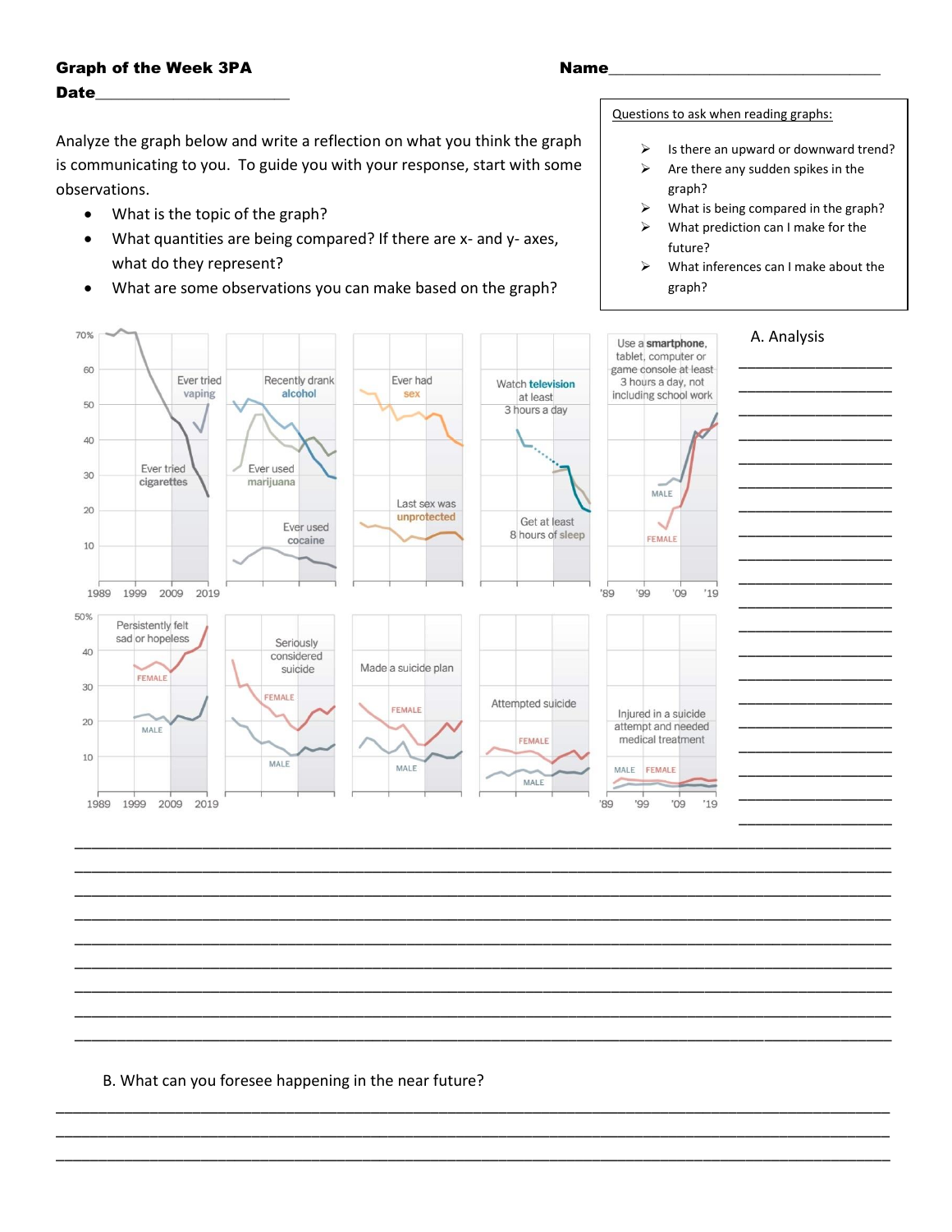## **Graph of the Week 3PA Date**

## Analyze the graph below and write a reflection on what you think the graph is communicating to you. To guide you with your response, start with some observations.

- What is the topic of the graph?  $\bullet$
- What quantities are being compared? If there are x- and y- axes,  $\bullet$ what do they represent?
- What are some observations you can make based on the graph?  $\bullet$

## Questions to ask when reading graphs:

- Is there an upward or downward trend?  $\blacktriangleright$
- $\blacktriangleright$ Are there any sudden spikes in the graph?
- What is being compared in the graph?  $\triangleright$
- What prediction can I make for the  $\blacktriangleright$ future?
- $\blacktriangleright$ What inferences can I make about the graph?



B. What can you foresee happening in the near future?

## Name